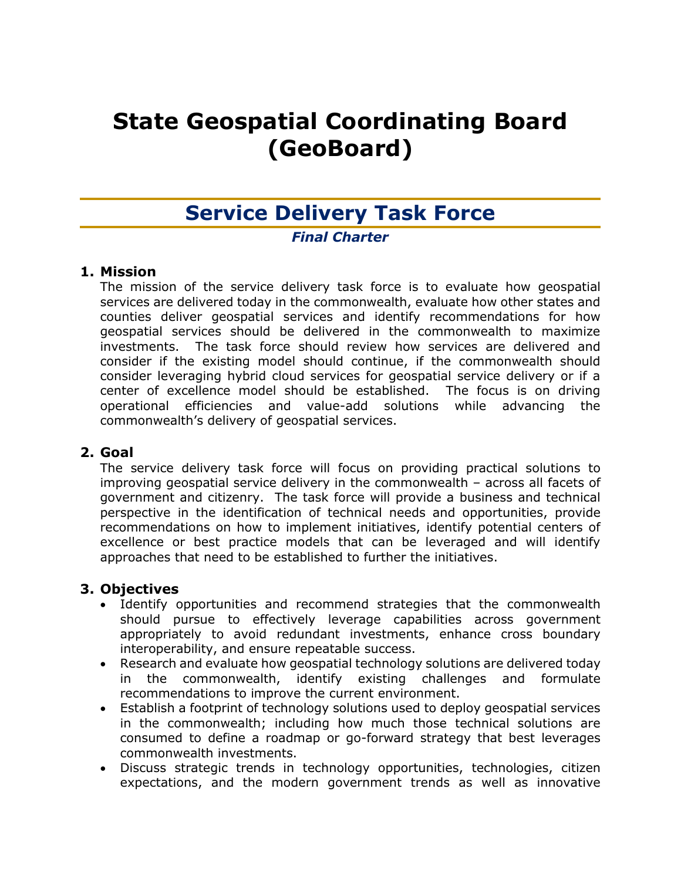# **State Geospatial Coordinating Board (GeoBoard)**

# **Service Delivery Task Force**

#### *Final Charter*

#### **1. Mission**

The mission of the service delivery task force is to evaluate how geospatial services are delivered today in the commonwealth, evaluate how other states and counties deliver geospatial services and identify recommendations for how geospatial services should be delivered in the commonwealth to maximize investments. The task force should review how services are delivered and consider if the existing model should continue, if the commonwealth should consider leveraging hybrid cloud services for geospatial service delivery or if a center of excellence model should be established. The focus is on driving operational efficiencies and value-add solutions while advancing the commonwealth's delivery of geospatial services.

#### **2. Goal**

The service delivery task force will focus on providing practical solutions to improving geospatial service delivery in the commonwealth – across all facets of government and citizenry. The task force will provide a business and technical perspective in the identification of technical needs and opportunities, provide recommendations on how to implement initiatives, identify potential centers of excellence or best practice models that can be leveraged and will identify approaches that need to be established to further the initiatives.

# **3. Objectives**

- Identify opportunities and recommend strategies that the commonwealth should pursue to effectively leverage capabilities across government appropriately to avoid redundant investments, enhance cross boundary interoperability, and ensure repeatable success.
- Research and evaluate how geospatial technology solutions are delivered today in the commonwealth, identify existing challenges and formulate recommendations to improve the current environment.
- Establish a footprint of technology solutions used to deploy geospatial services in the commonwealth; including how much those technical solutions are consumed to define a roadmap or go-forward strategy that best leverages commonwealth investments.
- Discuss strategic trends in technology opportunities, technologies, citizen expectations, and the modern government trends as well as innovative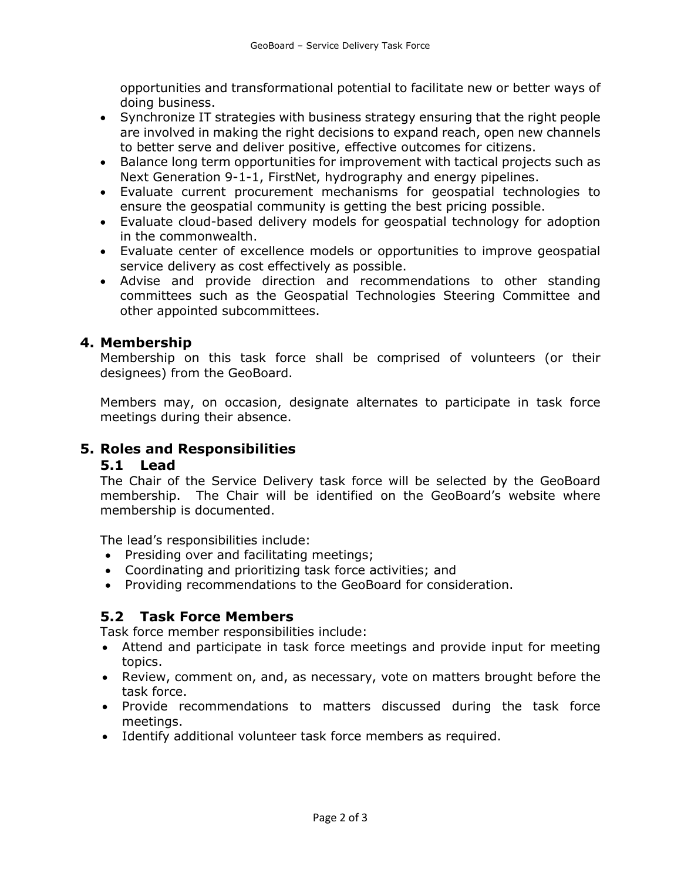opportunities and transformational potential to facilitate new or better ways of doing business.

- Synchronize IT strategies with business strategy ensuring that the right people are involved in making the right decisions to expand reach, open new channels to better serve and deliver positive, effective outcomes for citizens.
- Balance long term opportunities for improvement with tactical projects such as Next Generation 9-1-1, FirstNet, hydrography and energy pipelines.
- Evaluate current procurement mechanisms for geospatial technologies to ensure the geospatial community is getting the best pricing possible.
- Evaluate cloud-based delivery models for geospatial technology for adoption in the commonwealth.
- Evaluate center of excellence models or opportunities to improve geospatial service delivery as cost effectively as possible.
- Advise and provide direction and recommendations to other standing committees such as the Geospatial Technologies Steering Committee and other appointed subcommittees.

#### **4. Membership**

Membership on this task force shall be comprised of volunteers (or their designees) from the GeoBoard.

Members may, on occasion, designate alternates to participate in task force meetings during their absence.

# **5. Roles and Responsibilities**

#### **5.1 Lead**

The Chair of the Service Delivery task force will be selected by the GeoBoard membership. The Chair will be identified on the GeoBoard's website where membership is documented.

The lead's responsibilities include:

- Presiding over and facilitating meetings;
- Coordinating and prioritizing task force activities; and
- Providing recommendations to the GeoBoard for consideration.

# **5.2 Task Force Members**

Task force member responsibilities include:

- Attend and participate in task force meetings and provide input for meeting topics.
- Review, comment on, and, as necessary, vote on matters brought before the task force.
- Provide recommendations to matters discussed during the task force meetings.
- Identify additional volunteer task force members as required.